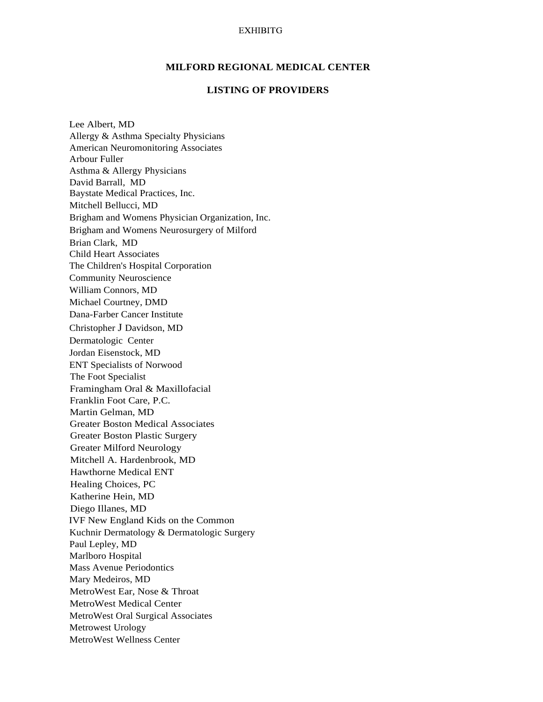## **EXHIBITG**

## **MILFORD REGIONAL MEDICAL CENTER**

## **LISTING OF PROVIDERS**

Lee Albert, MD Allergy & Asthma Specialty Physicians American Neuromonitoring Associates Arbour Fuller Asthma & Allergy Physicians David Barrall, MD Baystate Medical Practices, Inc. Mitchell Bellucci, MD Brigham and Womens Physician Organization, Inc. Brigham and Womens Neurosurgery of Milford Brian Clark, MD Child Heart Associates The Children's Hospital Corporation Community Neuroscience William Connors, MD Michael Courtney, DMD Dana-Farber Cancer Institute Christopher J Davidson, MD Dermatologic Center Jordan Eisenstock, MD ENT Specialists of Norwood The Foot Specialist Framingham Oral & Maxillofacial Franklin Foot Care, P.C. Martin Gelman, MD Greater Boston Medical Associates Greater Boston Plastic Surgery Greater Milford Neurology Mitchell A. Hardenbrook, MD Hawthorne Medical ENT Healing Choices, PC Katherine Hein, MD Diego Illanes, MD IVF New England Kids on the Common Kuchnir Dermatology & Dermatologic Surgery Paul Lepley, MD Marlboro Hospital Mass Avenue Periodontics Mary Medeiros, MD MetroWest Ear, Nose & Throat MetroWest Medical Center MetroWest Oral Surgical Associates Metrowest Urology MetroWest Wellness Center